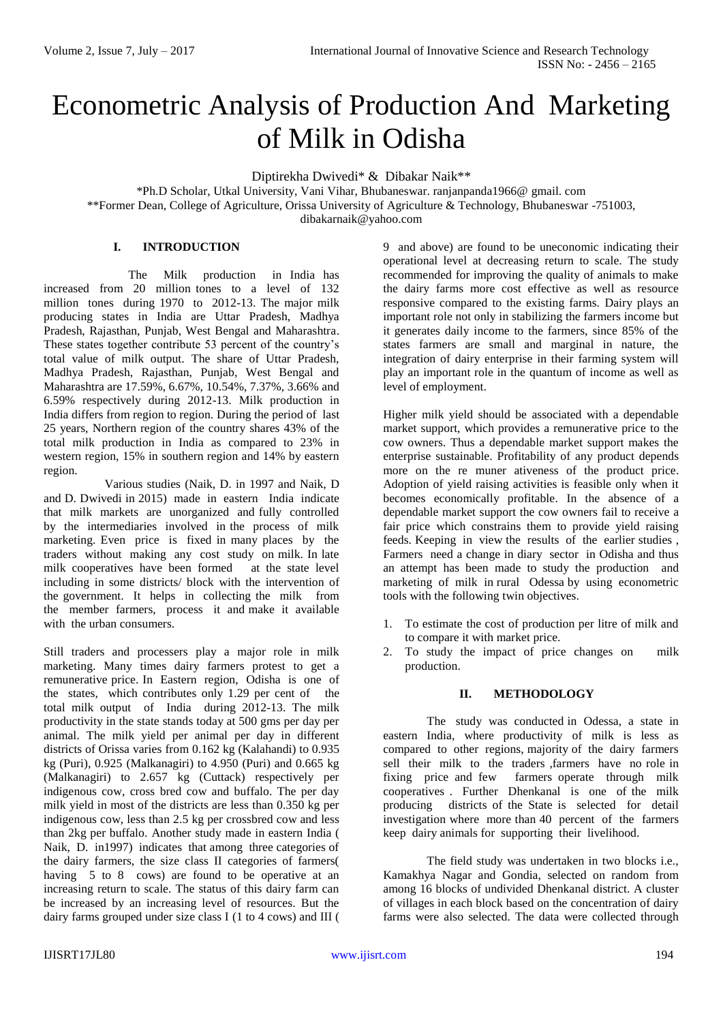# Econometric Analysis of Production And Marketing of Milk in Odisha

Diptirekha Dwivedi\* & Dibakar Naik\*\*

\*Ph.D Scholar, Utkal University, Vani Vihar, Bhubaneswar. ranjanpanda1966@ gmail. com \*\*Former Dean, College of Agriculture, Orissa University of Agriculture & Technology, Bhubaneswar -751003, dibakarnaik@yahoo.com

## **I. INTRODUCTION**

The Milk production in India has increased from 20 million tones to a level of 132 million tones during 1970 to 2012-13. The major milk producing states in India are Uttar Pradesh, Madhya Pradesh, Rajasthan, Punjab, West Bengal and Maharashtra. These states together contribute 53 percent of the country's total value of milk output. The share of Uttar Pradesh, Madhya Pradesh, Rajasthan, Punjab, West Bengal and Maharashtra are 17.59%, 6.67%, 10.54%, 7.37%, 3.66% and 6.59% respectively during 2012-13. Milk production in India differs from region to region. During the period of last 25 years, Northern region of the country shares 43% of the total milk production in India as compared to 23% in western region, 15% in southern region and 14% by eastern region.

 Various studies (Naik, D. in 1997 and Naik, D and D. Dwivedi in 2015) made in eastern India indicate that milk markets are unorganized and fully controlled by the intermediaries involved in the process of milk marketing. Even price is fixed in many places by the traders without making any cost study on milk. In late milk cooperatives have been formed at the state level including in some districts/ block with the intervention of the government. It helps in collecting the milk from the member farmers, process it and make it available with the urban consumers.

Still traders and processers play a major role in milk marketing. Many times dairy farmers protest to get a remunerative price. In Eastern region, Odisha is one of the states, which contributes only 1.29 per cent of the total milk output of India during 2012-13. The milk productivity in the state stands today at 500 gms per day per animal. The milk yield per animal per day in different districts of Orissa varies from 0.162 kg (Kalahandi) to 0.935 kg (Puri), 0.925 (Malkanagiri) to 4.950 (Puri) and 0.665 kg (Malkanagiri) to 2.657 kg (Cuttack) respectively per indigenous cow, cross bred cow and buffalo. The per day milk yield in most of the districts are less than 0.350 kg per indigenous cow, less than 2.5 kg per crossbred cow and less than 2kg per buffalo. Another study made in eastern India ( Naik, D. in1997) indicates that among three categories of the dairy farmers, the size class II categories of farmers( having 5 to 8 cows) are found to be operative at an increasing return to scale. The status of this dairy farm can be increased by an increasing level of resources. But the dairy farms grouped under size class I (1 to 4 cows) and III (

9 and above) are found to be uneconomic indicating their operational level at decreasing return to scale. The study recommended for improving the quality of animals to make the dairy farms more cost effective as well as resource responsive compared to the existing farms. Dairy plays an important role not only in stabilizing the farmers income but it generates daily income to the farmers, since 85% of the states farmers are small and marginal in nature, the integration of dairy enterprise in their farming system will play an important role in the quantum of income as well as level of employment.

Higher milk yield should be associated with a dependable market support, which provides a remunerative price to the cow owners. Thus a dependable market support makes the enterprise sustainable. Profitability of any product depends more on the re muner ativeness of the product price. Adoption of yield raising activities is feasible only when it becomes economically profitable. In the absence of a dependable market support the cow owners fail to receive a fair price which constrains them to provide yield raising feeds. Keeping in view the results of the earlier studies , Farmers need a change in diary sector in Odisha and thus an attempt has been made to study the production and marketing of milk in rural Odessa by using econometric tools with the following twin objectives.

- 1. To estimate the cost of production per litre of milk and to compare it with market price.
- 2. To study the impact of price changes on milk production.

#### **II. METHODOLOGY**

The study was conducted in Odessa, a state in eastern India, where productivity of milk is less as compared to other regions, majority of the dairy farmers sell their milk to the traders ,farmers have no role in fixing price and few farmers operate through milk cooperatives . Further Dhenkanal is one of the milk producing districts of the State is selected for detail investigation where more than 40 percent of the farmers keep dairy animals for supporting their livelihood.

The field study was undertaken in two blocks i.e., Kamakhya Nagar and Gondia, selected on random from among 16 blocks of undivided Dhenkanal district. A cluster of villages in each block based on the concentration of dairy farms were also selected. The data were collected through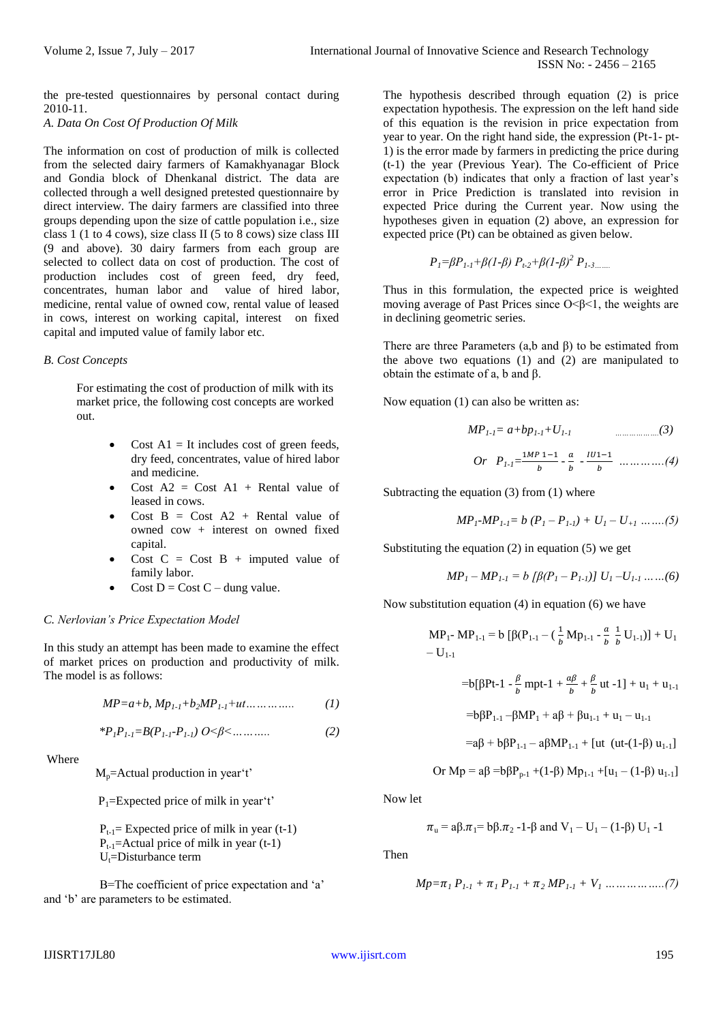the pre-tested questionnaires by personal contact during 2010-11. *A. Data On Cost Of Production Of Milk*

The information on cost of production of milk is collected from the selected dairy farmers of Kamakhyanagar Block and Gondia block of Dhenkanal district. The data are collected through a well designed pretested questionnaire by direct interview. The dairy farmers are classified into three groups depending upon the size of cattle population i.e., size class 1 (1 to 4 cows), size class II (5 to 8 cows) size class III (9 and above). 30 dairy farmers from each group are selected to collect data on cost of production. The cost of production includes cost of green feed, dry feed, concentrates, human labor and value of hired labor, medicine, rental value of owned cow, rental value of leased in cows, interest on working capital, interest on fixed capital and imputed value of family labor etc.

## *B. Cost Concepts*

For estimating the cost of production of milk with its market price, the following cost concepts are worked out.

- Cost  $AI = It$  includes cost of green feeds, dry feed, concentrates, value of hired labor and medicine.
- Cost  $A2 = Cost A1 + Rental value of$ leased in cows.
- Cost  $B = Cost A2 + Rental value of$ owned cow + interest on owned fixed capital.
- Cost  $C = Cost B + imputed value of$ family labor.
- Cost  $D = Cost C \text{dung value}$ .

## *C. Nerlovian's Price Expectation Model*

In this study an attempt has been made to examine the effect of market prices on production and productivity of milk. The model is as follows:

$$
MP = a + b, Mp_{1 \cdot 1} + b_2 MP_{1 \cdot 1} + ut \dots \dots \dots \tag{1}
$$

$$
*P_{1}P_{1\text{-}1} = B(P_{1\text{-}1}\cdot P_{1\text{-}1}) \cdot O \leq \beta \leq \dots \dots \dots \tag{2}
$$

Where

 $M_p$ =Actual production in year't'

 $P_1$ =Expected price of milk in year't'

 $P_{t-1}$ = Expected price of milk in year (t-1)  $P_{t-1}$ =Actual price of milk in year (t-1)  $U_t =$ Disturbance term

 Β=The coefficient of price expectation and 'a' and 'b' are parameters to be estimated.

The hypothesis described through equation (2) is price expectation hypothesis. The expression on the left hand side of this equation is the revision in price expectation from year to year. On the right hand side, the expression (Pt-1- pt-1) is the error made by farmers in predicting the price during (t-1) the year (Previous Year). The Co-efficient of Price expectation (b) indicates that only a fraction of last year's error in Price Prediction is translated into revision in expected Price during the Current year. Now using the hypotheses given in equation (2) above, an expression for expected price (Pt) can be obtained as given below.

$$
P_1 = \beta P_{1-1} + \beta (1-\beta) P_{1-2} + \beta (1-\beta)^2 P_{1-3 \dots}.
$$

Thus in this formulation, the expected price is weighted moving average of Past Prices since  $O < \beta < 1$ , the weights are in declining geometric series.

There are three Parameters  $(a,b \text{ and } \beta)$  to be estimated from the above two equations (1) and (2) are manipulated to obtain the estimate of a, b and β.

Now equation (1) can also be written as:

$$
MP_{1\text{-}1} = a + bp_{1\text{-}1} + U_{1\text{-}1} \qquad \qquad \dots \dots \dots \dots \dots (3)
$$

*Or* 
$$
P_{1\text{-}1} = \frac{1MP \ 1-1}{b} - \frac{a}{b} - \frac{1U1-1}{b}
$$
 ..........(4)

Subtracting the equation (3) from (1) where

$$
MP_I-MP_{I\text{-}I} = b (P_I - P_{I\text{-}I}) + U_I - U_{+I} \dots (5)
$$

Substituting the equation (2) in equation (5) we get

$$
MP1 - MP1-1 = b [β(P1 - P1-1)] U1 - U1-1 .......(6)
$$

Now substitution equation (4) in equation (6) we have

$$
MP_{1} - MP_{1-1} = b [ \beta(P_{1-1} - (\frac{1}{b} Mp_{1-1} - \frac{a}{b} \frac{1}{b} U_{1-1}) ] + U_1
$$
  
- U<sub>1-1</sub>

$$
=b[\beta Pt-1 - \frac{\beta}{b} mpt-1 + \frac{a\beta}{b} + \frac{\beta}{b} ut -1] + u_1 + u_{1-1}
$$
  

$$
=b\beta P_{1-1} - \beta MP_1 + a\beta + \beta u_{1-1} + u_1 - u_{1-1}
$$
  

$$
=a\beta + b\beta P_{1-1} - a\beta MP_{1-1} + [ut (ut-(1-\beta) u_{1-1})]
$$

$$
Or\ Mp = a\beta =\!b\beta P_{p\text{-}1} +\! (1\text{-}\beta)\ Mp_{1\text{-}1} +\! [u_1-(1\text{-}\beta)\ u_{1\text{-}1}]
$$

Now let

$$
\pi_u = a\beta \cdot \pi_1 = b\beta \cdot \pi_2 - 1 - \beta
$$
 and  $V_1 - U_1 - (1-\beta) U_1 - 1$ 

Then

$$
Mp = \pi_1 P_{1\text{-}1} + \pi_1 P_{1\text{-}1} + \pi_2 MP_{1\text{-}1} + V_1 \dots \dots \dots \dots \dots (7)
$$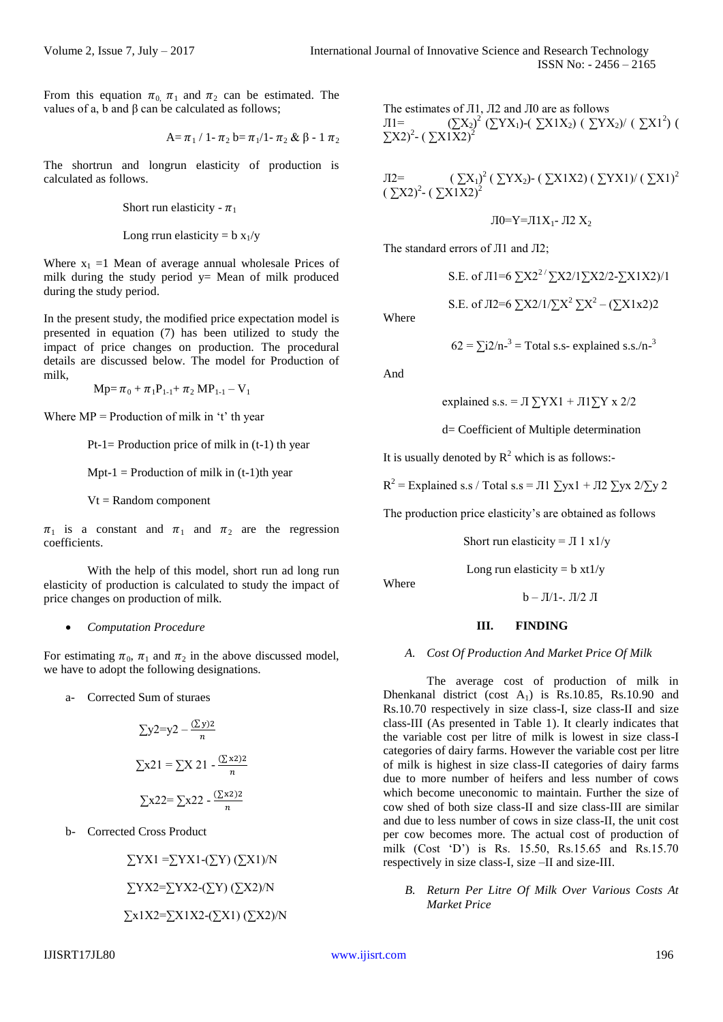From this equation  $\pi_0$ ,  $\pi_1$  and  $\pi_2$  can be estimated. The values of a, b and β can be calculated as follows;

$$
A=\pi_1 \mathbin{/} 1\text{-}\pi_2\ b\text{=}\pi_1 \mathbin{/} 1\text{-}\pi_2\ \&\ \beta\text{-} 1\ \pi_2
$$

The shortrun and longrun elasticity of production is calculated as follows.

Short run elasticity 
$$
- \pi_1
$$

Long rrun elasticity =  $b x_1/y$ 

Where  $x_1 = 1$  Mean of average annual wholesale Prices of milk during the study period  $y=$  Mean of milk produced during the study period.

In the present study, the modified price expectation model is presented in equation (7) has been utilized to study the impact of price changes on production. The procedural details are discussed below. The model for Production of milk,

 $Mp = \pi_0 + \pi_1 P_{1-1} + \pi_2 MP_{1-1} - V_1$ 

Where  $MP = \text{Production of milk in 't' th year}$ 

Pt-1= Production price of milk in  $(t-1)$  th year

Mpt-1 = Production of milk in  $(t-1)$ th year

 $Vt = Random component$ 

 $\pi_1$  is a constant and  $\pi_1$  and  $\pi_2$  are the regression coefficients.

With the help of this model, short run ad long run elasticity of production is calculated to study the impact of price changes on production of milk.

#### *Computation Procedure*

For estimating  $\pi_0$ ,  $\pi_1$  and  $\pi_2$  in the above discussed model, we have to adopt the following designations.

a- Corrected Sum of sturaes

$$
\sum y2=y2-\frac{(\sum y)2}{n}
$$

$$
\sum x21=\sum X 21-\frac{(\sum x2)2}{n}
$$

$$
\sum x22=\sum x22-\frac{(\sum x2)2}{n}
$$

b- Corrected Cross Product

$$
\sum YX1 = \sum YX1 - (\sum Y) (\sum X1)/N
$$

$$
\sum YX2 = \sum YX2 - (\sum Y) (\sum X2)/N
$$

$$
\sum x1X2 = \sum X1X2 - (\sum X1) (\sum X2)/N
$$

The estimates of Л1, Л2 and Л0 are as follows  $J1 =$  ( $\sum X_2$ )<sup>2</sup> ( $\sum YX_1$ )-( $\sum X1X_2$ ) ( $\sum YX_2$ )/ ( $\sum X1^2$ ) (  $\sum$ X2)<sup>2</sup>- ( $\sum$ X1X2)<sup>2</sup>

Л2= ( ∑X1) 2 ( ∑YX2)- ( ∑X1X2) ( ∑YX1)/ ( ∑X1)<sup>2</sup> ( ∑X2)<sup>2</sup> - ( ∑X1X2)<sup>2</sup> Л0=Y=Л1X1- Л2 X<sup>2</sup>

The standard errors of Л1 and Л2;

S.E. of J11=6 
$$
\Sigma X2^{27} \Sigma X2/1 \Sigma X2/2 - \Sigma X1X2/1
$$
  
S.E. of J12=6  $\Sigma X2/1/\Sigma X^2 \Sigma X^2 - (\Sigma X1x2)2$ 

Where

$$
62 = \sum i2/n^{-3} = \text{Total s.s- explained s.s.}/n^{-3}
$$

And

explained s.s. = 
$$
\Pi \sum YX1 + \Pi 1 \sum Y \times 2/2
$$

d= Coefficient of Multiple determination

It is usually denoted by  $R^2$  which is as follows:-

 $R^2$  = Explained s.s / Total s.s = Л1  $\sum yx1 + \sum \sum yx2/\sum y2$ 

The production price elasticity's are obtained as follows

Short run elasticity =  $\pi$  1 x1/y

Long run elasticity =  $b \times t1/y$ 

Where

 $b - JI/1-.$   $JI/2$  Л

## **III. FINDING**

#### *A. Cost Of Production And Market Price Of Milk*

The average cost of production of milk in Dhenkanal district (cost  $A_1$ ) is Rs.10.85, Rs.10.90 and Rs.10.70 respectively in size class-I, size class-II and size class-III (As presented in Table 1). It clearly indicates that the variable cost per litre of milk is lowest in size class-I categories of dairy farms. However the variable cost per litre of milk is highest in size class-II categories of dairy farms due to more number of heifers and less number of cows which become uneconomic to maintain. Further the size of cow shed of both size class-II and size class-III are similar and due to less number of cows in size class-II, the unit cost per cow becomes more. The actual cost of production of milk (Cost 'D') is Rs. 15.50, Rs.15.65 and Rs.15.70 respectively in size class-I, size –II and size-III.

*B. Return Per Litre Of Milk Over Various Costs At Market Price*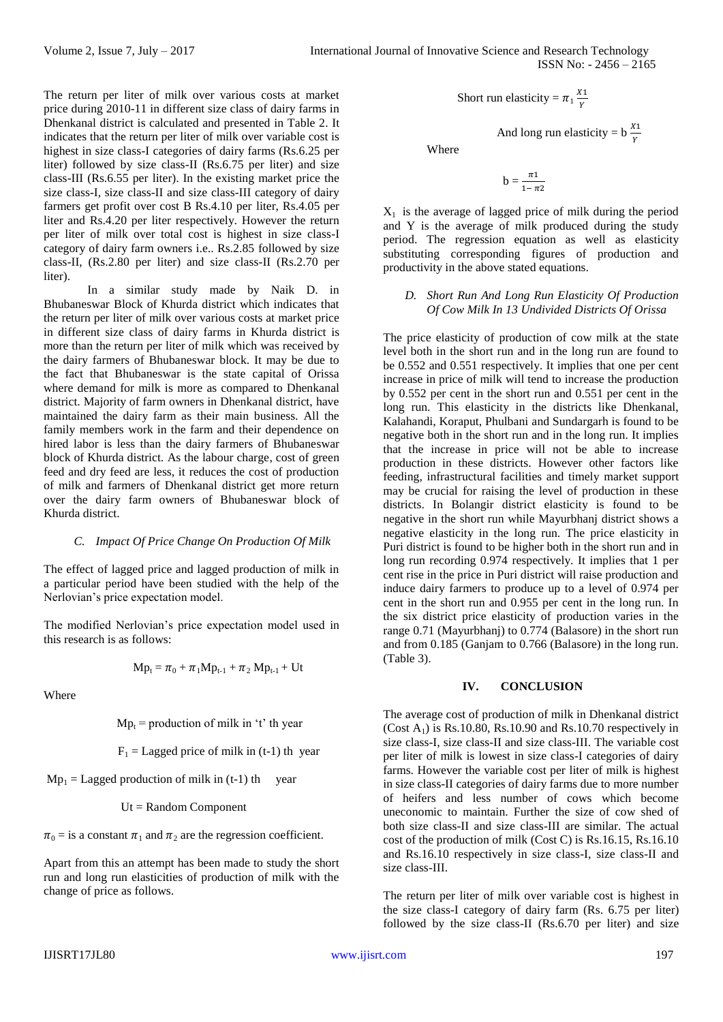The return per liter of milk over various costs at market price during 2010-11 in different size class of dairy farms in Dhenkanal district is calculated and presented in Table 2. It indicates that the return per liter of milk over variable cost is highest in size class-I categories of dairy farms (Rs.6.25 per liter) followed by size class-II (Rs.6.75 per liter) and size class-III (Rs.6.55 per liter). In the existing market price the size class-I, size class-II and size class-III category of dairy farmers get profit over cost B Rs.4.10 per liter, Rs.4.05 per liter and Rs.4.20 per liter respectively. However the return per liter of milk over total cost is highest in size class-I category of dairy farm owners i.e.. Rs.2.85 followed by size class-II, (Rs.2.80 per liter) and size class-II (Rs.2.70 per liter).

In a similar study made by Naik D. in Bhubaneswar Block of Khurda district which indicates that the return per liter of milk over various costs at market price in different size class of dairy farms in Khurda district is more than the return per liter of milk which was received by the dairy farmers of Bhubaneswar block. It may be due to the fact that Bhubaneswar is the state capital of Orissa where demand for milk is more as compared to Dhenkanal district. Majority of farm owners in Dhenkanal district, have maintained the dairy farm as their main business. All the family members work in the farm and their dependence on hired labor is less than the dairy farmers of Bhubaneswar block of Khurda district. As the labour charge, cost of green feed and dry feed are less, it reduces the cost of production of milk and farmers of Dhenkanal district get more return over the dairy farm owners of Bhubaneswar block of Khurda district.

### *C. Impact Of Price Change On Production Of Milk*

The effect of lagged price and lagged production of milk in a particular period have been studied with the help of the Nerlovian's price expectation model.

The modified Nerlovian's price expectation model used in this research is as follows:

$$
Mp_{t} = \pi_{0} + \pi_{1}Mp_{t-1} + \pi_{2}Mp_{t-1} + Ut
$$

Where

 $Mp_t$  = production of milk in 't' th year

 $F_1$  = Lagged price of milk in (t-1) th year

 $Mp_1 = Lagged$  production of milk in (t-1) th year

Ut = Random Component

 $\pi_0$  = is a constant  $\pi_1$  and  $\pi_2$  are the regression coefficient.

Apart from this an attempt has been made to study the short run and long run elasticities of production of milk with the change of price as follows.

Short run elasticity = 
$$
\pi_1 \frac{X_1}{Y}
$$

And long run elasticity =  $b \frac{X_1}{Y}$ Where

$$
b = \frac{\pi \mathbf{1}}{1 - \pi \mathbf{2}}
$$

 $X_1$  is the average of lagged price of milk during the period and Y is the average of milk produced during the study period. The regression equation as well as elasticity substituting corresponding figures of production and productivity in the above stated equations.

## *D. Short Run And Long Run Elasticity Of Production Of Cow Milk In 13 Undivided Districts Of Orissa*

The price elasticity of production of cow milk at the state level both in the short run and in the long run are found to be 0.552 and 0.551 respectively. It implies that one per cent increase in price of milk will tend to increase the production by 0.552 per cent in the short run and 0.551 per cent in the long run. This elasticity in the districts like Dhenkanal, Kalahandi, Koraput, Phulbani and Sundargarh is found to be negative both in the short run and in the long run. It implies that the increase in price will not be able to increase production in these districts. However other factors like feeding, infrastructural facilities and timely market support may be crucial for raising the level of production in these districts. In Bolangir district elasticity is found to be negative in the short run while Mayurbhanj district shows a negative elasticity in the long run. The price elasticity in Puri district is found to be higher both in the short run and in long run recording 0.974 respectively. It implies that 1 per cent rise in the price in Puri district will raise production and induce dairy farmers to produce up to a level of 0.974 per cent in the short run and 0.955 per cent in the long run. In the six district price elasticity of production varies in the range 0.71 (Mayurbhanj) to 0.774 (Balasore) in the short run and from 0.185 (Ganjam to 0.766 (Balasore) in the long run. (Table 3).

## **IV. CONCLUSION**

The average cost of production of milk in Dhenkanal district (Cost  $A_1$ ) is Rs.10.80, Rs.10.90 and Rs.10.70 respectively in size class-I, size class-II and size class-III. The variable cost per liter of milk is lowest in size class-I categories of dairy farms. However the variable cost per liter of milk is highest in size class-II categories of dairy farms due to more number of heifers and less number of cows which become uneconomic to maintain. Further the size of cow shed of both size class-II and size class-III are similar. The actual cost of the production of milk (Cost C) is Rs.16.15, Rs.16.10 and Rs.16.10 respectively in size class-I, size class-II and size class-III.

The return per liter of milk over variable cost is highest in the size class-I category of dairy farm (Rs. 6.75 per liter) followed by the size class-II (Rs.6.70 per liter) and size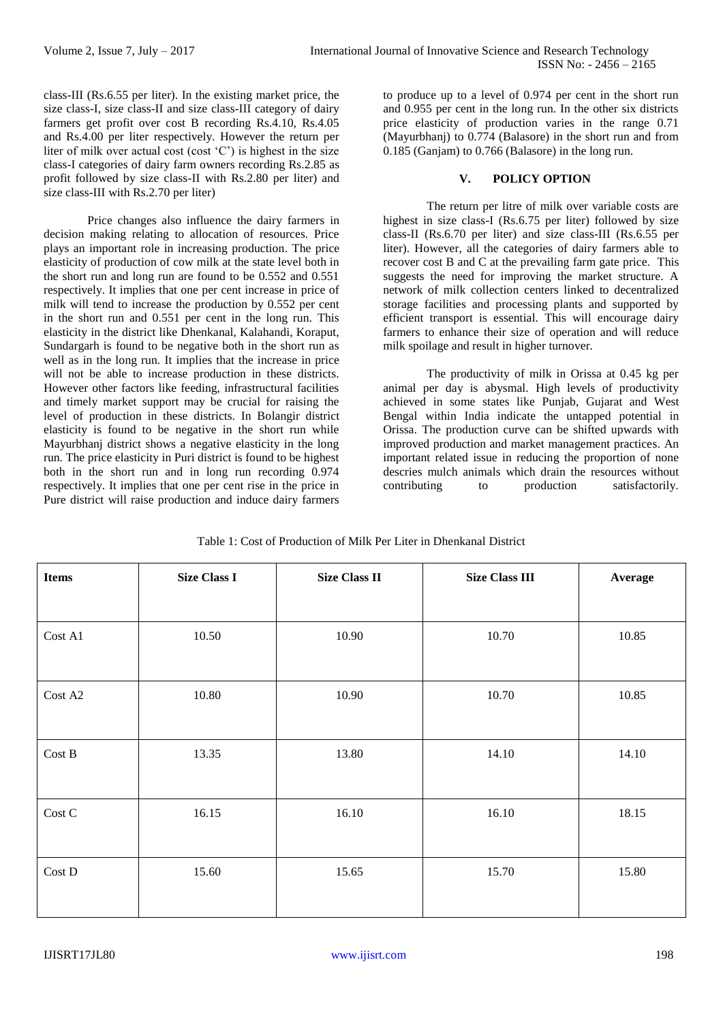class-III (Rs.6.55 per liter). In the existing market price, the size class-I, size class-II and size class-III category of dairy farmers get profit over cost B recording Rs.4.10, Rs.4.05 and Rs.4.00 per liter respectively. However the return per liter of milk over actual cost (cost 'C') is highest in the size class-I categories of dairy farm owners recording Rs.2.85 as profit followed by size class-II with Rs.2.80 per liter) and size class-III with Rs.2.70 per liter)

Price changes also influence the dairy farmers in decision making relating to allocation of resources. Price plays an important role in increasing production. The price elasticity of production of cow milk at the state level both in the short run and long run are found to be 0.552 and 0.551 respectively. It implies that one per cent increase in price of milk will tend to increase the production by 0.552 per cent in the short run and 0.551 per cent in the long run. This elasticity in the district like Dhenkanal, Kalahandi, Koraput, Sundargarh is found to be negative both in the short run as well as in the long run. It implies that the increase in price will not be able to increase production in these districts. However other factors like feeding, infrastructural facilities and timely market support may be crucial for raising the level of production in these districts. In Bolangir district elasticity is found to be negative in the short run while Mayurbhanj district shows a negative elasticity in the long run. The price elasticity in Puri district is found to be highest both in the short run and in long run recording 0.974 respectively. It implies that one per cent rise in the price in Pure district will raise production and induce dairy farmers

to produce up to a level of 0.974 per cent in the short run and 0.955 per cent in the long run. In the other six districts price elasticity of production varies in the range 0.71 (Mayurbhanj) to 0.774 (Balasore) in the short run and from 0.185 (Ganjam) to 0.766 (Balasore) in the long run.

## **V. POLICY OPTION**

The return per litre of milk over variable costs are highest in size class-I (Rs.6.75 per liter) followed by size class-II (Rs.6.70 per liter) and size class-III (Rs.6.55 per liter). However, all the categories of dairy farmers able to recover cost B and C at the prevailing farm gate price. This suggests the need for improving the market structure. A network of milk collection centers linked to decentralized storage facilities and processing plants and supported by efficient transport is essential. This will encourage dairy farmers to enhance their size of operation and will reduce milk spoilage and result in higher turnover.

The productivity of milk in Orissa at 0.45 kg per animal per day is abysmal. High levels of productivity achieved in some states like Punjab, Gujarat and West Bengal within India indicate the untapped potential in Orissa. The production curve can be shifted upwards with improved production and market management practices. An important related issue in reducing the proportion of none descries mulch animals which drain the resources without contributing to production satisfactorily. to production satisfactorily.

| <b>Items</b>       | <b>Size Class I</b> | <b>Size Class II</b> | <b>Size Class III</b> | Average |
|--------------------|---------------------|----------------------|-----------------------|---------|
|                    |                     |                      |                       |         |
| Cost A1            | 10.50               | 10.90                | 10.70                 | 10.85   |
|                    |                     |                      |                       |         |
| Cost A2            | 10.80               | 10.90                | 10.70                 | 10.85   |
|                    |                     |                      |                       |         |
| Cost B             | 13.35               | 13.80                | 14.10                 | 14.10   |
|                    |                     |                      |                       |         |
| Cost C             | 16.15               | 16.10                | 16.10                 | 18.15   |
|                    |                     |                      |                       |         |
| $\rm Cost$ $\rm D$ | 15.60               | 15.65                | 15.70                 | 15.80   |
|                    |                     |                      |                       |         |

Table 1: Cost of Production of Milk Per Liter in Dhenkanal District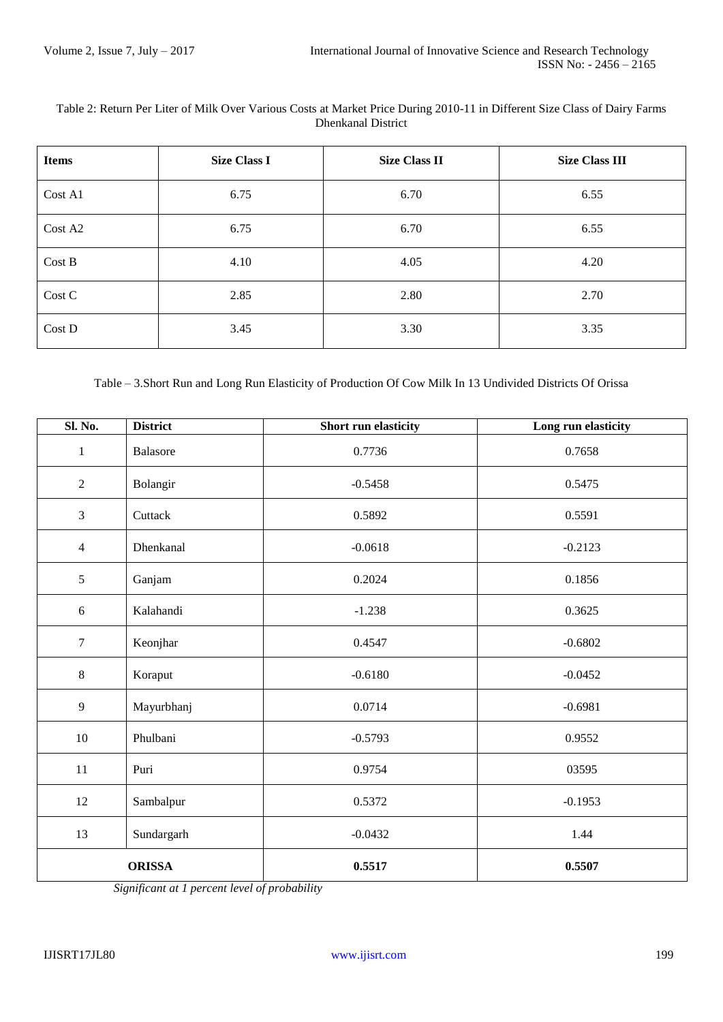## Table 2: Return Per Liter of Milk Over Various Costs at Market Price During 2010-11 in Different Size Class of Dairy Farms Dhenkanal District

| <b>Items</b> | <b>Size Class I</b> | <b>Size Class II</b> | <b>Size Class III</b> |
|--------------|---------------------|----------------------|-----------------------|
| Cost A1      | 6.75                | 6.70                 | 6.55                  |
| Cost A2      | 6.75                | 6.70                 | 6.55                  |
| Cost B       | 4.10                | 4.05                 | 4.20                  |
| Cost C       | 2.85                | 2.80                 | 2.70                  |
| Cost D       | 3.45                | 3.30                 | 3.35                  |

Table – 3.Short Run and Long Run Elasticity of Production Of Cow Milk In 13 Undivided Districts Of Orissa

| <b>Sl. No.</b> | <b>District</b> | <b>Short run elasticity</b> | Long run elasticity |
|----------------|-----------------|-----------------------------|---------------------|
| $\,1\,$        | Balasore        | 0.7736                      | 0.7658              |
| $\overline{2}$ | Bolangir        | $-0.5458$                   | 0.5475              |
| $\overline{3}$ | Cuttack         | 0.5892                      | 0.5591              |
| $\overline{4}$ | Dhenkanal       | $-0.0618$                   | $-0.2123$           |
| 5              | Ganjam          | 0.2024                      | 0.1856              |
| $6\,$          | Kalahandi       | $-1.238$                    | 0.3625              |
| $\tau$         | Keonjhar        | 0.4547                      | $-0.6802$           |
| $\,8\,$        | Koraput         | $-0.6180$                   | $-0.0452$           |
| $\overline{9}$ | Mayurbhanj      | 0.0714                      | $-0.6981$           |
| 10             | Phulbani        | $-0.5793$                   | 0.9552              |
| $11\,$         | Puri            | 0.9754                      | 03595               |
| 12             | Sambalpur       | 0.5372                      | $-0.1953$           |
| 13             | Sundargarh      | $-0.0432$                   | 1.44                |
| <b>ORISSA</b>  |                 | 0.5517                      | 0.5507              |

 *Significant at 1 percent level of probability*